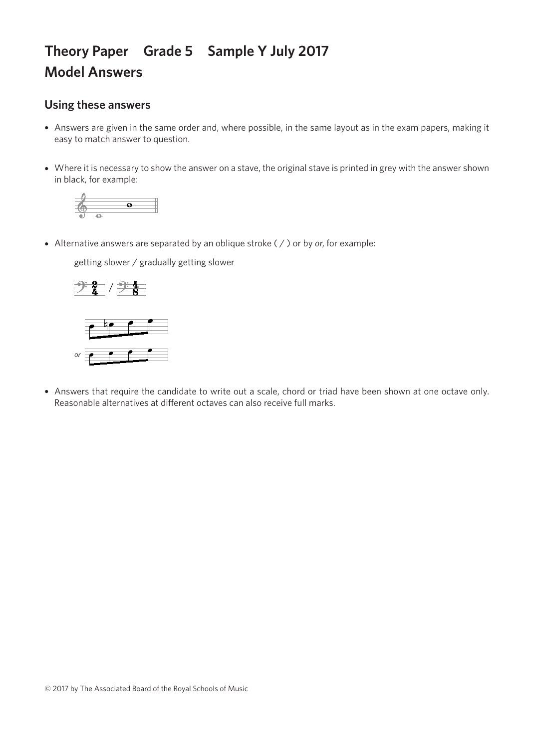## **Theory Paper Grade 5 Sample Y July 2017 Model Answers**

## **Using these answers**

- Answers are given in the same order and, where possible, in the same layout as in the exam papers, making it easy to match answer to question.
- Where it is necessary to show the answer on a stave, the original stave is printed in grey with the answer shown in black, for example:



• Alternative answers are separated by an oblique stroke ( / ) or by *or*, for example:

getting slower / gradually getting slower getting slower / gradually getting slower getting slower / gradually getting slower getting slower / gradually getting slower





• Answers that require the candidate to write out a scale, chord or triad have been shown at one octave only. Reasonable alternatives at different octaves can also receive full marks.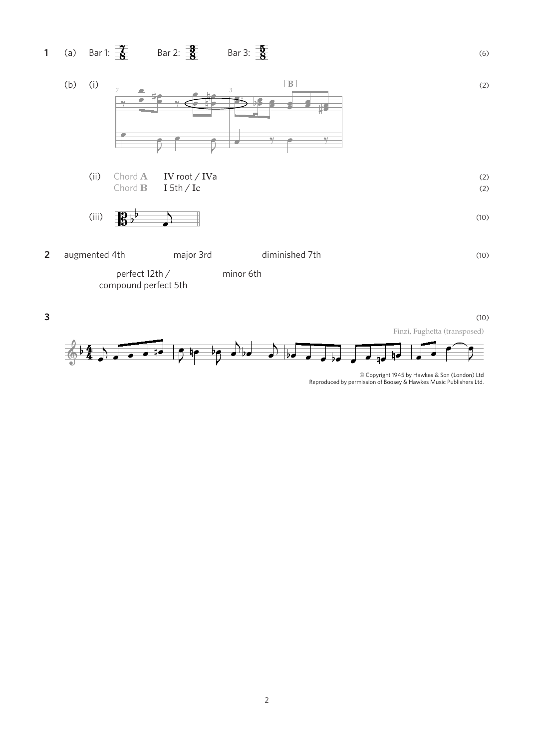



<sup>©</sup> Copyright 1945 by Hawkes & Son (London) Ltd Reproduced by permission of Boosey & Hawkes Music Publishers Ltd.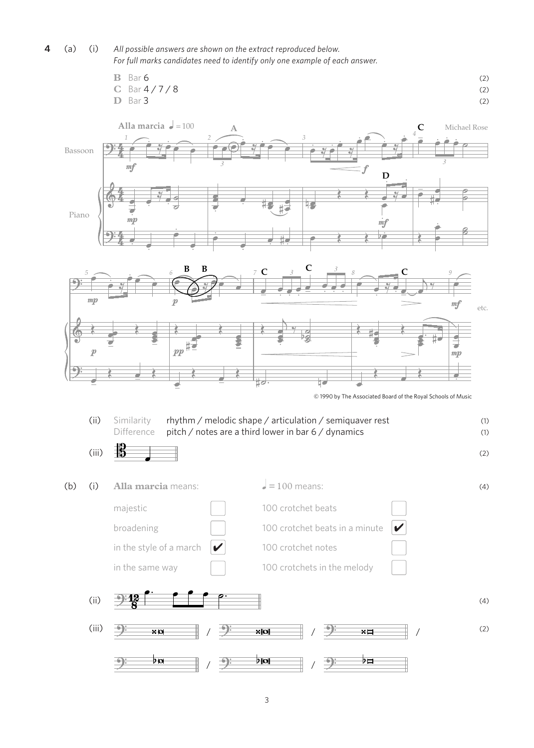## **4** (a) (i) *All possible answers are shown on the extract reproduced below. For full marks candidates need to identify only one example of each answer.*

$$
\begin{array}{ll}\n\text{B} & \text{Bar 6} \\
\text{C} & \text{Bar } 4 \;/\; 7 \;/\; 8\n\end{array}\n\tag{2}
$$